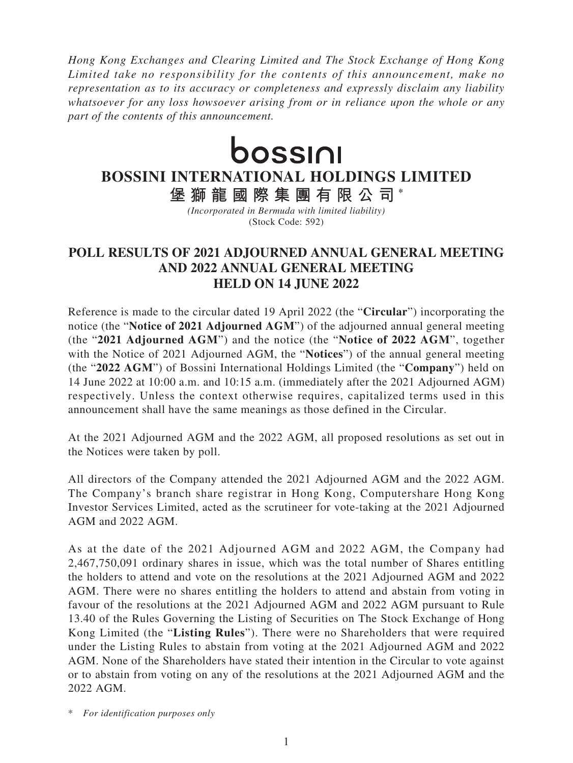*Hong Kong Exchanges and Clearing Limited and The Stock Exchange of Hong Kong Limited take no responsibility for the contents of this announcement, make no representation as to its accuracy or completeness and expressly disclaim any liability whatsoever for any loss howsoever arising from or in reliance upon the whole or any part of the contents of this announcement.*



## **BOSSINI INTERNATIONAL HOLDINGS LIMITED**

**堡獅龍國際集團有限公司 \***

*(Incorporated in Bermuda with limited liability)* (Stock Code: 592)

## **POLL RESULTS OF 2021 ADJOURNED ANNUAL GENERAL MEETING AND 2022 ANNUAL GENERAL MEETING HELD ON 14 JUNE 2022**

Reference is made to the circular dated 19 April 2022 (the "**Circular**") incorporating the notice (the "**Notice of 2021 Adjourned AGM**") of the adjourned annual general meeting (the "**2021 Adjourned AGM**") and the notice (the "**Notice of 2022 AGM**", together with the Notice of 2021 Adjourned AGM, the "**Notices**") of the annual general meeting (the "**2022 AGM**") of Bossini International Holdings Limited (the "**Company**") held on 14 June 2022 at 10:00 a.m. and 10:15 a.m. (immediately after the 2021 Adjourned AGM) respectively. Unless the context otherwise requires, capitalized terms used in this announcement shall have the same meanings as those defined in the Circular.

At the 2021 Adjourned AGM and the 2022 AGM, all proposed resolutions as set out in the Notices were taken by poll.

All directors of the Company attended the 2021 Adjourned AGM and the 2022 AGM. The Company's branch share registrar in Hong Kong, Computershare Hong Kong Investor Services Limited, acted as the scrutineer for vote-taking at the 2021 Adjourned AGM and 2022 AGM.

As at the date of the 2021 Adjourned AGM and 2022 AGM, the Company had 2,467,750,091 ordinary shares in issue, which was the total number of Shares entitling the holders to attend and vote on the resolutions at the 2021 Adjourned AGM and 2022 AGM. There were no shares entitling the holders to attend and abstain from voting in favour of the resolutions at the 2021 Adjourned AGM and 2022 AGM pursuant to Rule 13.40 of the Rules Governing the Listing of Securities on The Stock Exchange of Hong Kong Limited (the "**Listing Rules**"). There were no Shareholders that were required under the Listing Rules to abstain from voting at the 2021 Adjourned AGM and 2022 AGM. None of the Shareholders have stated their intention in the Circular to vote against or to abstain from voting on any of the resolutions at the 2021 Adjourned AGM and the 2022 AGM.

\* *For identification purposes only*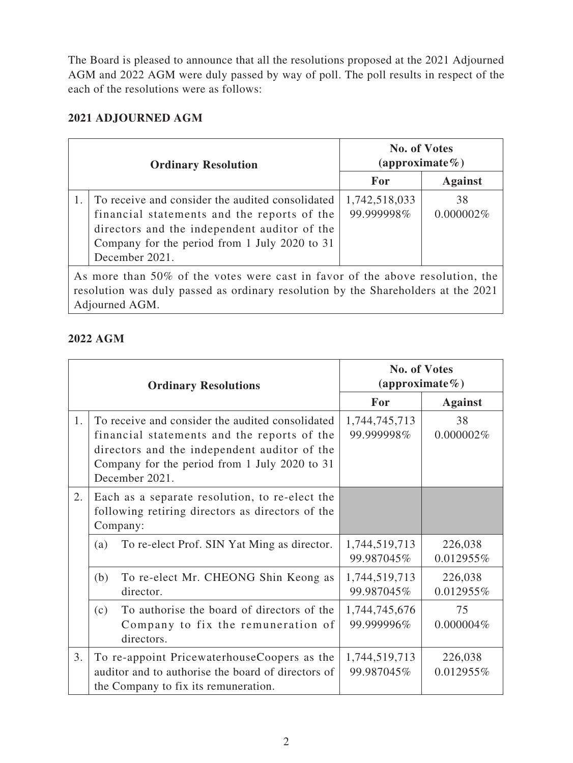The Board is pleased to announce that all the resolutions proposed at the 2021 Adjourned AGM and 2022 AGM were duly passed by way of poll. The poll results in respect of the each of the resolutions were as follows:

## **2021 ADJOURNED AGM**

| <b>Ordinary Resolution</b>                                                                                                                                                           |                                                                                                                                                                                                                    | <b>No. of Votes</b><br>(approximate $\%$ ) |                 |  |  |
|--------------------------------------------------------------------------------------------------------------------------------------------------------------------------------------|--------------------------------------------------------------------------------------------------------------------------------------------------------------------------------------------------------------------|--------------------------------------------|-----------------|--|--|
|                                                                                                                                                                                      |                                                                                                                                                                                                                    | For                                        | <b>Against</b>  |  |  |
|                                                                                                                                                                                      | To receive and consider the audited consolidated<br>financial statements and the reports of the<br>directors and the independent auditor of the<br>Company for the period from 1 July 2020 to 31<br>December 2021. | 1,742,518,033<br>99.999998%                | 38<br>0.000002% |  |  |
| As more than 50% of the votes were cast in favor of the above resolution, the<br>resolution was duly passed as ordinary resolution by the Shareholders at the 2021<br>Adjourned AGM. |                                                                                                                                                                                                                    |                                            |                 |  |  |

## **2022 AGM**

| <b>Ordinary Resolutions</b> |                                                                                                                                                                                                                    | <b>No. of Votes</b><br>(approximate $%$ ) |                      |
|-----------------------------|--------------------------------------------------------------------------------------------------------------------------------------------------------------------------------------------------------------------|-------------------------------------------|----------------------|
|                             |                                                                                                                                                                                                                    | For                                       | <b>Against</b>       |
| 1.                          | To receive and consider the audited consolidated<br>financial statements and the reports of the<br>directors and the independent auditor of the<br>Company for the period from 1 July 2020 to 31<br>December 2021. | 1,744,745,713<br>99.999998%               | 38<br>0.000002%      |
| 2.                          | Each as a separate resolution, to re-elect the<br>following retiring directors as directors of the<br>Company:                                                                                                     |                                           |                      |
|                             | To re-elect Prof. SIN Yat Ming as director.<br>(a)                                                                                                                                                                 | 1,744,519,713<br>99.987045%               | 226,038<br>0.012955% |
|                             | To re-elect Mr. CHEONG Shin Keong as<br>(b)<br>director.                                                                                                                                                           | 1,744,519,713<br>99.987045%               | 226,038<br>0.012955% |
|                             | To authorise the board of directors of the<br>(c)<br>Company to fix the remuneration of<br>directors.                                                                                                              | 1,744,745,676<br>99.999996%               | 75<br>$0.000004\%$   |
| 3.                          | To re-appoint PricewaterhouseCoopers as the<br>auditor and to authorise the board of directors of<br>the Company to fix its remuneration.                                                                          | 1,744,519,713<br>99.987045%               | 226,038<br>0.012955% |